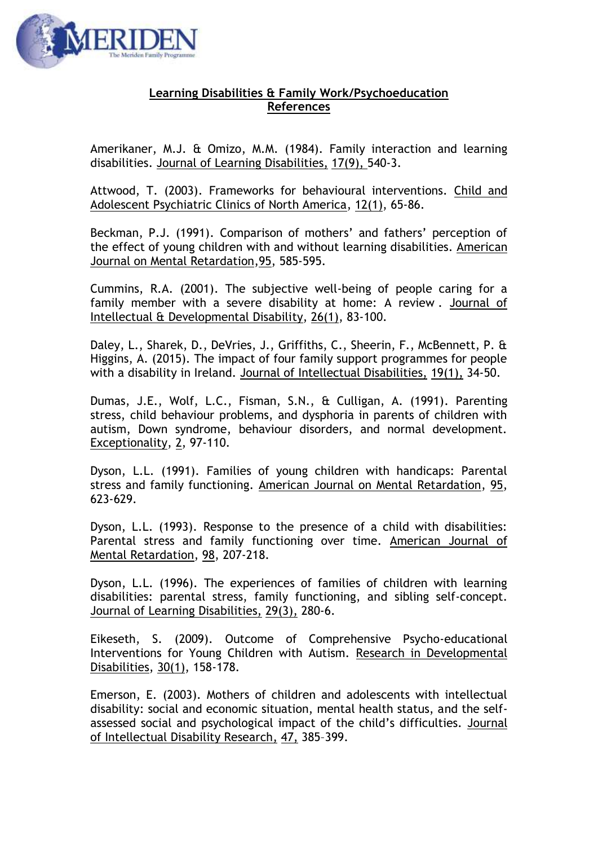

## **Learning Disabilities & Family Work/Psychoeducation References**

Amerikaner, M.J. & Omizo, M.M. (1984). [Family interaction and learning](http://www.ncbi.nlm.nih.gov/pubmed/6502011)  [disabilities.](http://www.ncbi.nlm.nih.gov/pubmed/6502011) Journal of Learning Disabilities, 17(9), 540-3.

Attwood, T. (2003). Frameworks for behavioural interventions. Child and Adolescent Psychiatric Clinics of North America, 12(1), 65-86.

Beckman, P.J. (1991). Comparison of mothers' and fathers' perception of the effect of young children with and without learning disabilities. American Journal on Mental Retardation,95, 585-595.

Cummins, R.A. (2001). The subjective well-being of people caring for a family member with a severe disability at home: A review . Journal of Intellectual & Developmental Disability, 26(1), 83-100.

Daley, L., Sharek, D., DeVries, J., Griffiths, C., Sheerin, F., McBennett, P. & Higgins, A. (2015). The impact of four family support programmes for people with a disability in Ireland. Journal of Intellectual Disabilities, 19(1), 34-50.

Dumas, J.E., Wolf, L.C., Fisman, S.N., & Culligan, A. (1991). Parenting stress, child behaviour problems, and dysphoria in parents of children with autism, Down syndrome, behaviour disorders, and normal development. Exceptionality, 2, 97-110.

Dyson, L.L. (1991). Families of young children with handicaps: Parental stress and family functioning. American Journal on Mental Retardation, 95, 623-629.

Dyson, L.L. (1993). Response to the presence of a child with disabilities: Parental stress and family functioning over time. American Journal of Mental Retardation, 98, 207-218.

Dyson, L.L. (1996). [The experiences of families of children with learning](http://www.ncbi.nlm.nih.gov/pubmed/8732889)  [disabilities: parental stress, family functioning, and sibling self-concept.](http://www.ncbi.nlm.nih.gov/pubmed/8732889) Journal of Learning Disabilities, 29(3), 280-6.

Eikeseth, S. (2009). Outcome of Comprehensive Psycho-educational Interventions for Young Children with Autism. Research in Developmental Disabilities, 30(1), 158-178.

Emerson, E. (2003). Mothers of children and adolescents with intellectual disability: social and economic situation, mental health status, and the selfassessed social and psychological impact of the child's difficulties. Journal of Intellectual Disability Research, 47, 385–399.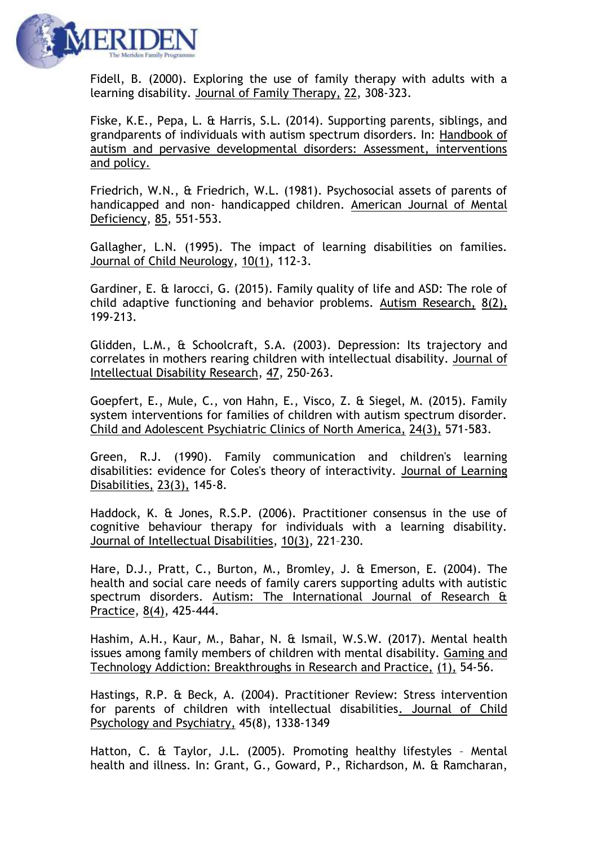

Fidell, B. (2000). Exploring the use of family therapy with adults with a learning disability. Journal of Family Therapy, 22, 308-323.

Fiske, K.E., Pepa, L. & Harris, S.L. (2014). Supporting parents, siblings, and grandparents of individuals with autism spectrum disorders. In: Handbook of autism and pervasive developmental disorders: Assessment, interventions and policy.

Friedrich, W.N., & Friedrich, W.L. (1981). Psychosocial assets of parents of handicapped and non- handicapped children. American Journal of Mental Deficiency, 85, 551-553.

Gallagher, L.N. (1995). [The impact of learning disabilities on families.](http://www.ncbi.nlm.nih.gov/pubmed/7751546) Journal of Child Neurology, 10(1), 112-3.

Gardiner, E. & Iarocci, G. (2015). Family quality of life and ASD: The role of child adaptive functioning and behavior problems. Autism Research, 8(2), 199-213.

Glidden, L.M., & Schoolcraft, S.A. (2003). Depression: Its trajectory and correlates in mothers rearing children with intellectual disability. Journal of Intellectual Disability Research, 47, 250-263.

Goepfert, E., Mule, C., von Hahn, E., Visco, Z. & Siegel, M. (2015). Family system interventions for families of children with autism spectrum disorder. Child and Adolescent Psychiatric Clinics of North America, 24(3), 571-583.

Green, R.J. (1990). [Family communication and children's learning](http://www.ncbi.nlm.nih.gov/pubmed/2313187)  [disabilities: evidence for Coles's theory of interactivity.](http://www.ncbi.nlm.nih.gov/pubmed/2313187) Journal of Learning Disabilities, 23(3), 145-8.

Haddock, K. & Jones, R.S.P. (2006). Practitioner consensus in the use of cognitive behaviour therapy for individuals with a learning disability. Journal of Intellectual Disabilities, 10(3), 221–230.

Hare, D.J., Pratt, C., Burton, M., Bromley, J. & Emerson, E. (2004). The health and social care needs of family carers supporting adults with autistic spectrum disorders. Autism: The International Journal of Research & Practice, 8(4), 425-444.

Hashim, A.H., Kaur, M., Bahar, N. & Ismail, W.S.W. (2017). Mental health issues among family members of children with mental disability. Gaming and Technology Addiction: Breakthroughs in Research and Practice, (1), 54-56.

Hastings, R.P. & Beck, A. (2004). Practitioner Review: Stress intervention for parents of children with intellectual disabilities. Journal of Child Psychology and Psychiatry, 45(8), 1338-1349

Hatton, C. & Taylor, J.L. (2005). Promoting healthy lifestyles – Mental health and illness. In: Grant, G., Goward, P., Richardson, M. & Ramcharan,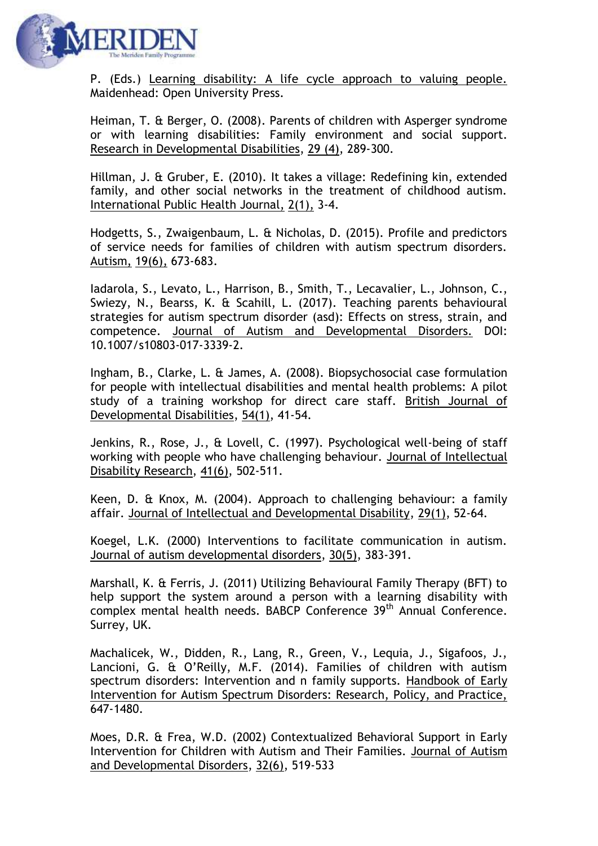

P. (Eds.) Learning disability: A life cycle approach to valuing people. Maidenhead: Open University Press.

Heiman, T. & Berger, O. (2008). Parents of children with Asperger syndrome or with learning disabilities: Family environment and social support. Research in Developmental Disabilities, 29 (4), 289-300.

Hillman, J. & Gruber, E. (2010). It takes a village: Redefining kin, extended family, and other social networks in the treatment of childhood autism. International Public Health Journal, 2(1), 3-4.

Hodgetts, S., Zwaigenbaum, L. & Nicholas, D. (2015). Profile and predictors of service needs for families of children with autism spectrum disorders. Autism, 19(6), 673-683.

Iadarola, S., Levato, L., Harrison, B., Smith, T., Lecavalier, L., Johnson, C., Swiezy, N., Bearss, K. & Scahill, L. (2017). Teaching parents behavioural strategies for autism spectrum disorder (asd): Effects on stress, strain, and competence. Journal of Autism and Developmental Disorders. DOI: 10.1007/s10803-017-3339-2.

Ingham, B., Clarke, L. & James, A. (2008). Biopsychosocial case formulation for people with intellectual disabilities and mental health problems: A pilot study of a training workshop for direct care staff. British Journal of Developmental Disabilities, 54(1), 41-54.

Jenkins, R., Rose, J., & Lovell, C. (1997). Psychological well-being of staff working with people who have challenging behaviour. Journal of Intellectual Disability Research, 41(6), 502-511.

[Keen,](http://informahealthcare.com/action/doSearch?action=runSearch&type=advanced&result=true&prevSearch=%2Bauthorsfield%3A(Keen,%20Deb)) D. & Knox, M. (2004). Approach to challenging behaviour: a family affair. Journal of Intellectual and Developmental Disability, 29(1), 52-64.

Koegel, L.K. (2000) Interventions to facilitate communication in autism. Journal of autism developmental disorders, 30(5), 383-391.

Marshall, K. & Ferris, J. (2011) Utilizing Behavioural Family Therapy (BFT) to help support the system around a person with a learning disability with complex mental health needs. BABCP Conference 39<sup>th</sup> Annual Conference. Surrey, UK.

Machalicek, W., Didden, R., Lang, R., Green, V., Lequia, J., Sigafoos, J., Lancioni, G. & O'Reilly, M.F. (2014). Families of children with autism spectrum disorders: Intervention and n family supports. Handbook of Early Intervention for Autism Spectrum Disorders: Research, Policy, and Practice, 647-1480.

Moes, D.R. & Frea, W.D. (2002) Contextualized Behavioral Support in Early Intervention for Children with Autism and Their Families. Journal of Autism and Developmental Disorders, 32(6), 519-533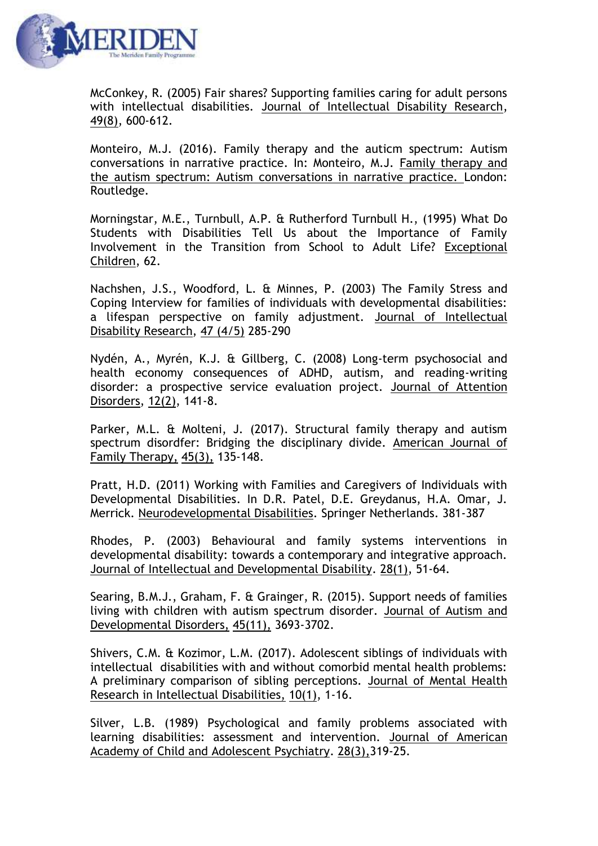

McConkey, R. (2005) Fair shares? Supporting families caring for adult persons with intellectual disabilities. Journal of Intellectual Disability Research, 49(8), 600-612.

Monteiro, M.J. (2016). Family therapy and the auticm spectrum: Autism conversations in narrative practice. In: Monteiro, M.J. Family therapy and the autism spectrum: Autism conversations in narrative practice. London: Routledge.

Morningstar, M.E., Turnbull, A.P. & Rutherford Turnbull H., (1995) What Do Students with Disabilities Tell Us about the Importance of Family Involvement in the Transition from School to Adult Life? Exceptional Children, 62.

Nachshen, J.S., Woodford, L. & Minnes, P. (2003) The Family Stress and Coping Interview for families of individuals with developmental disabilities: a lifespan perspective on family adjustment. Journal of Intellectual Disability Research, 47 (4/5) 285-290

Nydén, A., Myrén, K.J. & Gillberg, C. (2008) Long-term psychosocial and health economy consequences of ADHD, autism, and reading-writing disorder: a prospective service evaluation project. Journal of Attention Disorders, 12(2), 141-8.

Parker, M.L. & Molteni, J. (2017). Structural family therapy and autism spectrum disordfer: Bridging the disciplinary divide. American Journal of Family Therapy, 45(3), 135-148.

Pratt, H.D. (2011) Working with Families and Caregivers of Individuals with Developmental Disabilities. In D.R. Patel, D.E. Greydanus, H.A. Omar, J. Merrick. Neurodevelopmental Disabilities. Springer Netherlands. 381-387

Rhodes, P. (2003) Behavioural and family systems interventions in developmental disability: towards a contemporary and integrative approach. Journal of Intellectual and Developmental Disability. 28(1), 51-64.

Searing, B.M.J., Graham, F. & Grainger, R. (2015). Support needs of families living with children with autism spectrum disorder. Journal of Autism and Developmental Disorders, 45(11), 3693-3702.

Shivers, C.M. & Kozimor, L.M. (2017). Adolescent siblings of individuals with intellectual disabilities with and without comorbid mental health problems: A preliminary comparison of sibling perceptions. Journal of Mental Health Research in Intellectual Disabilities, 10(1), 1-16.

Silver, L.B. (1989) [Psychological and family problems associated with](http://www.ncbi.nlm.nih.gov/pubmed/2661523)  [learning disabilities: assessment and intervention.](http://www.ncbi.nlm.nih.gov/pubmed/2661523) Journal of American Academy of Child and Adolescent Psychiatry. 28(3),319-25.